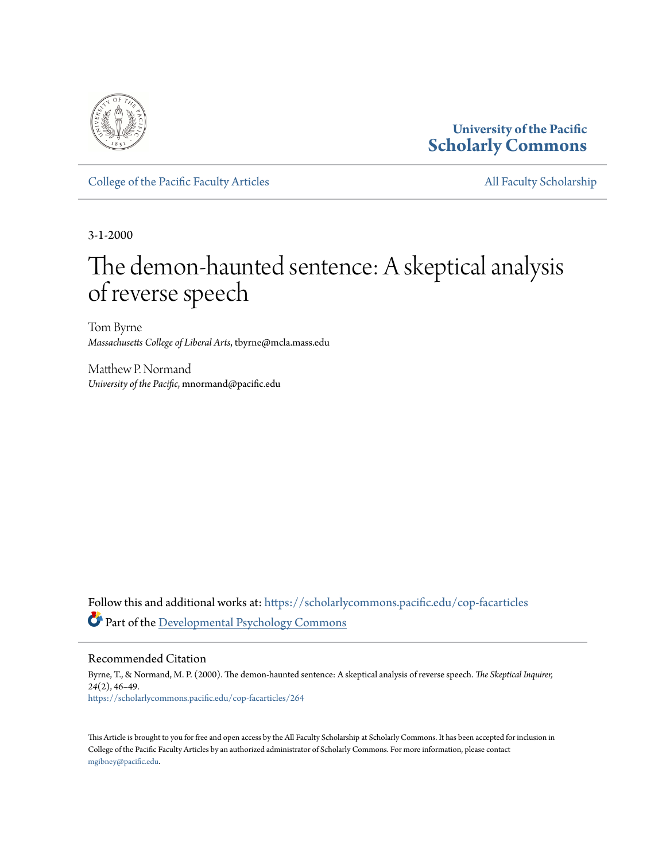

### **University of the Pacific [Scholarly Commons](https://scholarlycommons.pacific.edu?utm_source=scholarlycommons.pacific.edu%2Fcop-facarticles%2F264&utm_medium=PDF&utm_campaign=PDFCoverPages)**

[College of the Pacific Faculty Articles](https://scholarlycommons.pacific.edu/cop-facarticles?utm_source=scholarlycommons.pacific.edu%2Fcop-facarticles%2F264&utm_medium=PDF&utm_campaign=PDFCoverPages) [All Faculty Scholarship](https://scholarlycommons.pacific.edu/cop-facultyworks?utm_source=scholarlycommons.pacific.edu%2Fcop-facarticles%2F264&utm_medium=PDF&utm_campaign=PDFCoverPages)

3-1-2000

# The demon-haunted sentence: A skeptical analysis of reverse speech

Tom Byrne *Massachusetts College of Liberal Arts*, tbyrne@mcla.mass.edu

Matthew P. Normand *University of the Pacific*, mnormand@pacific.edu

Follow this and additional works at: [https://scholarlycommons.pacific.edu/cop-facarticles](https://scholarlycommons.pacific.edu/cop-facarticles?utm_source=scholarlycommons.pacific.edu%2Fcop-facarticles%2F264&utm_medium=PDF&utm_campaign=PDFCoverPages) Part of the [Developmental Psychology Commons](http://network.bepress.com/hgg/discipline/410?utm_source=scholarlycommons.pacific.edu%2Fcop-facarticles%2F264&utm_medium=PDF&utm_campaign=PDFCoverPages)

Recommended Citation

Byrne, T., & Normand, M. P. (2000). The demon-haunted sentence: A skeptical analysis of reverse speech. *The Skeptical Inquirer, 24*(2), 46–49. [https://scholarlycommons.pacific.edu/cop-facarticles/264](https://scholarlycommons.pacific.edu/cop-facarticles/264?utm_source=scholarlycommons.pacific.edu%2Fcop-facarticles%2F264&utm_medium=PDF&utm_campaign=PDFCoverPages)

This Article is brought to you for free and open access by the All Faculty Scholarship at Scholarly Commons. It has been accepted for inclusion in College of the Pacific Faculty Articles by an authorized administrator of Scholarly Commons. For more information, please contact [mgibney@pacific.edu.](mailto:mgibney@pacific.edu)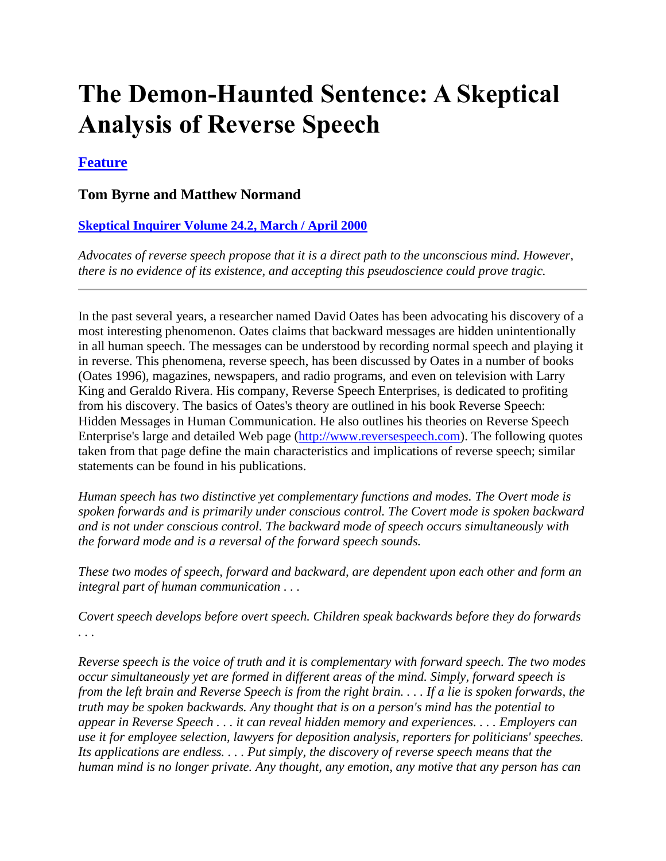# **The Demon-Haunted Sentence: A Skeptical Analysis of Reverse Speech**

### **[Feature](http://www.csicop.org/si/archive/category/feature)**

#### **Tom Byrne and Matthew Normand**

#### **[Skeptical Inquirer Volume 24.2, March / April 2000](http://www.csicop.org/si/archive/category/volume_24.2)**

*Advocates of reverse speech propose that it is a direct path to the unconscious mind. However, there is no evidence of its existence, and accepting this pseudoscience could prove tragic.*

In the past several years, a researcher named David Oates has been advocating his discovery of a most interesting phenomenon. Oates claims that backward messages are hidden unintentionally in all human speech. The messages can be understood by recording normal speech and playing it in reverse. This phenomena, reverse speech, has been discussed by Oates in a number of books (Oates 1996), magazines, newspapers, and radio programs, and even on television with Larry King and Geraldo Rivera. His company, Reverse Speech Enterprises, is dedicated to profiting from his discovery. The basics of Oates's theory are outlined in his book Reverse Speech: Hidden Messages in Human Communication. He also outlines his theories on Reverse Speech Enterprise's large and detailed Web page [\(http://www.reversespeech.com\)](http://www.reversespeech.com/). The following quotes taken from that page define the main characteristics and implications of reverse speech; similar statements can be found in his publications.

*Human speech has two distinctive yet complementary functions and modes. The Overt mode is spoken forwards and is primarily under conscious control. The Covert mode is spoken backward and is not under conscious control. The backward mode of speech occurs simultaneously with the forward mode and is a reversal of the forward speech sounds.*

*These two modes of speech, forward and backward, are dependent upon each other and form an integral part of human communication . . .*

*Covert speech develops before overt speech. Children speak backwards before they do forwards . . .*

*Reverse speech is the voice of truth and it is complementary with forward speech. The two modes occur simultaneously yet are formed in different areas of the mind. Simply, forward speech is from the left brain and Reverse Speech is from the right brain. . . . If a lie is spoken forwards, the truth may be spoken backwards. Any thought that is on a person's mind has the potential to appear in Reverse Speech . . . it can reveal hidden memory and experiences. . . . Employers can use it for employee selection, lawyers for deposition analysis, reporters for politicians' speeches. Its applications are endless. . . . Put simply, the discovery of reverse speech means that the human mind is no longer private. Any thought, any emotion, any motive that any person has can*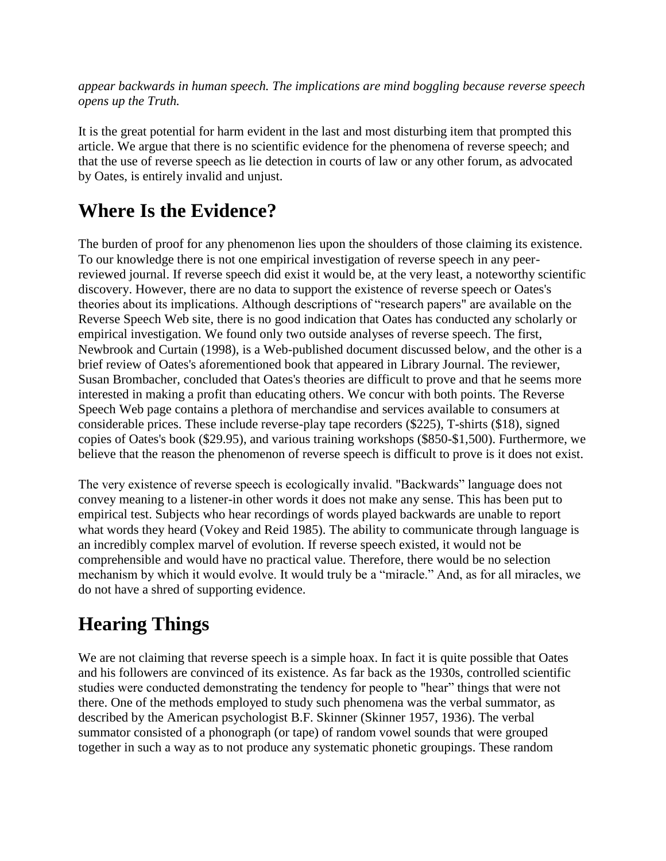*appear backwards in human speech. The implications are mind boggling because reverse speech opens up the Truth.*

It is the great potential for harm evident in the last and most disturbing item that prompted this article. We argue that there is no scientific evidence for the phenomena of reverse speech; and that the use of reverse speech as lie detection in courts of law or any other forum, as advocated by Oates, is entirely invalid and unjust.

## **Where Is the Evidence?**

The burden of proof for any phenomenon lies upon the shoulders of those claiming its existence. To our knowledge there is not one empirical investigation of reverse speech in any peerreviewed journal. If reverse speech did exist it would be, at the very least, a noteworthy scientific discovery. However, there are no data to support the existence of reverse speech or Oates's theories about its implications. Although descriptions of "research papers" are available on the Reverse Speech Web site, there is no good indication that Oates has conducted any scholarly or empirical investigation. We found only two outside analyses of reverse speech. The first, Newbrook and Curtain (1998), is a Web-published document discussed below, and the other is a brief review of Oates's aforementioned book that appeared in Library Journal. The reviewer, Susan Brombacher, concluded that Oates's theories are difficult to prove and that he seems more interested in making a profit than educating others. We concur with both points. The Reverse Speech Web page contains a plethora of merchandise and services available to consumers at considerable prices. These include reverse-play tape recorders (\$225), T-shirts (\$18), signed copies of Oates's book (\$29.95), and various training workshops (\$850-\$1,500). Furthermore, we believe that the reason the phenomenon of reverse speech is difficult to prove is it does not exist.

The very existence of reverse speech is ecologically invalid. "Backwards" language does not convey meaning to a listener-in other words it does not make any sense. This has been put to empirical test. Subjects who hear recordings of words played backwards are unable to report what words they heard (Vokey and Reid 1985). The ability to communicate through language is an incredibly complex marvel of evolution. If reverse speech existed, it would not be comprehensible and would have no practical value. Therefore, there would be no selection mechanism by which it would evolve. It would truly be a "miracle." And, as for all miracles, we do not have a shred of supporting evidence.

## **Hearing Things**

We are not claiming that reverse speech is a simple hoax. In fact it is quite possible that Oates and his followers are convinced of its existence. As far back as the 1930s, controlled scientific studies were conducted demonstrating the tendency for people to "hear" things that were not there. One of the methods employed to study such phenomena was the verbal summator, as described by the American psychologist B.F. Skinner (Skinner 1957, 1936). The verbal summator consisted of a phonograph (or tape) of random vowel sounds that were grouped together in such a way as to not produce any systematic phonetic groupings. These random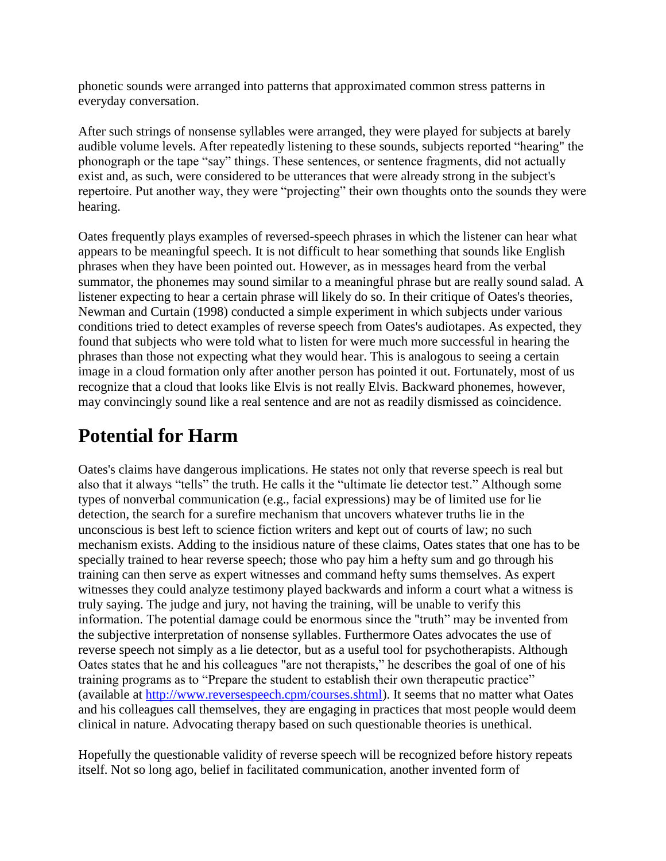phonetic sounds were arranged into patterns that approximated common stress patterns in everyday conversation.

After such strings of nonsense syllables were arranged, they were played for subjects at barely audible volume levels. After repeatedly listening to these sounds, subjects reported "hearing" the phonograph or the tape "say" things. These sentences, or sentence fragments, did not actually exist and, as such, were considered to be utterances that were already strong in the subject's repertoire. Put another way, they were "projecting" their own thoughts onto the sounds they were hearing.

Oates frequently plays examples of reversed-speech phrases in which the listener can hear what appears to be meaningful speech. It is not difficult to hear something that sounds like English phrases when they have been pointed out. However, as in messages heard from the verbal summator, the phonemes may sound similar to a meaningful phrase but are really sound salad. A listener expecting to hear a certain phrase will likely do so. In their critique of Oates's theories, Newman and Curtain (1998) conducted a simple experiment in which subjects under various conditions tried to detect examples of reverse speech from Oates's audiotapes. As expected, they found that subjects who were told what to listen for were much more successful in hearing the phrases than those not expecting what they would hear. This is analogous to seeing a certain image in a cloud formation only after another person has pointed it out. Fortunately, most of us recognize that a cloud that looks like Elvis is not really Elvis. Backward phonemes, however, may convincingly sound like a real sentence and are not as readily dismissed as coincidence.

## **Potential for Harm**

Oates's claims have dangerous implications. He states not only that reverse speech is real but also that it always "tells" the truth. He calls it the "ultimate lie detector test." Although some types of nonverbal communication (e.g., facial expressions) may be of limited use for lie detection, the search for a surefire mechanism that uncovers whatever truths lie in the unconscious is best left to science fiction writers and kept out of courts of law; no such mechanism exists. Adding to the insidious nature of these claims, Oates states that one has to be specially trained to hear reverse speech; those who pay him a hefty sum and go through his training can then serve as expert witnesses and command hefty sums themselves. As expert witnesses they could analyze testimony played backwards and inform a court what a witness is truly saying. The judge and jury, not having the training, will be unable to verify this information. The potential damage could be enormous since the "truth" may be invented from the subjective interpretation of nonsense syllables. Furthermore Oates advocates the use of reverse speech not simply as a lie detector, but as a useful tool for psychotherapists. Although Oates states that he and his colleagues "are not therapists," he describes the goal of one of his training programs as to "Prepare the student to establish their own therapeutic practice" (available at [http://www.reversespeech.cpm/courses.shtml\)](http://www.reversespeech.cpm/courses.shtml). It seems that no matter what Oates and his colleagues call themselves, they are engaging in practices that most people would deem clinical in nature. Advocating therapy based on such questionable theories is unethical.

Hopefully the questionable validity of reverse speech will be recognized before history repeats itself. Not so long ago, belief in facilitated communication, another invented form of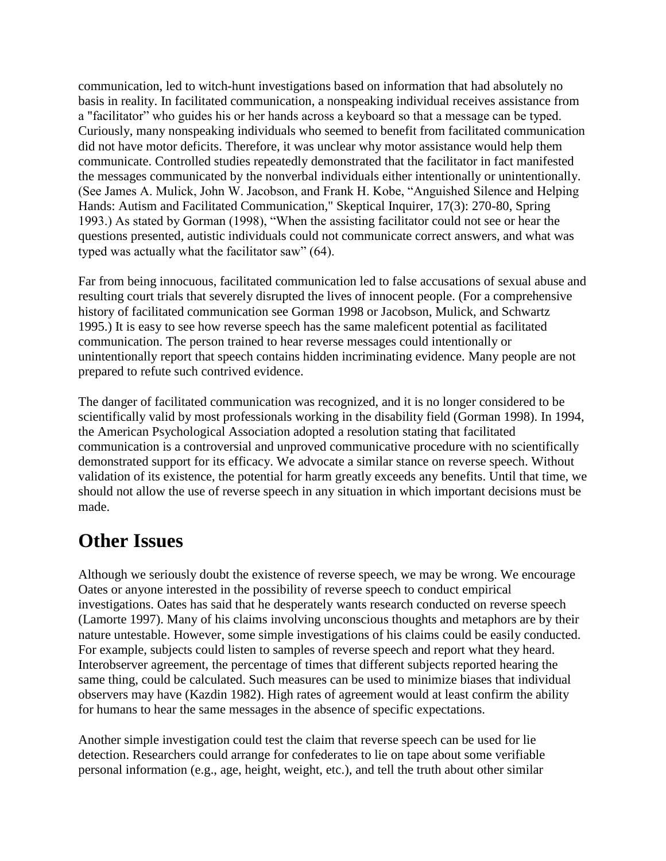communication, led to witch-hunt investigations based on information that had absolutely no basis in reality. In facilitated communication, a nonspeaking individual receives assistance from a "facilitator" who guides his or her hands across a keyboard so that a message can be typed. Curiously, many nonspeaking individuals who seemed to benefit from facilitated communication did not have motor deficits. Therefore, it was unclear why motor assistance would help them communicate. Controlled studies repeatedly demonstrated that the facilitator in fact manifested the messages communicated by the nonverbal individuals either intentionally or unintentionally. (See James A. Mulick, John W. Jacobson, and Frank H. Kobe, "Anguished Silence and Helping Hands: Autism and Facilitated Communication," Skeptical Inquirer, 17(3): 270-80, Spring 1993.) As stated by Gorman (1998), "When the assisting facilitator could not see or hear the questions presented, autistic individuals could not communicate correct answers, and what was typed was actually what the facilitator saw" (64).

Far from being innocuous, facilitated communication led to false accusations of sexual abuse and resulting court trials that severely disrupted the lives of innocent people. (For a comprehensive history of facilitated communication see Gorman 1998 or Jacobson, Mulick, and Schwartz 1995.) It is easy to see how reverse speech has the same maleficent potential as facilitated communication. The person trained to hear reverse messages could intentionally or unintentionally report that speech contains hidden incriminating evidence. Many people are not prepared to refute such contrived evidence.

The danger of facilitated communication was recognized, and it is no longer considered to be scientifically valid by most professionals working in the disability field (Gorman 1998). In 1994, the American Psychological Association adopted a resolution stating that facilitated communication is a controversial and unproved communicative procedure with no scientifically demonstrated support for its efficacy. We advocate a similar stance on reverse speech. Without validation of its existence, the potential for harm greatly exceeds any benefits. Until that time, we should not allow the use of reverse speech in any situation in which important decisions must be made.

### **Other Issues**

Although we seriously doubt the existence of reverse speech, we may be wrong. We encourage Oates or anyone interested in the possibility of reverse speech to conduct empirical investigations. Oates has said that he desperately wants research conducted on reverse speech (Lamorte 1997). Many of his claims involving unconscious thoughts and metaphors are by their nature untestable. However, some simple investigations of his claims could be easily conducted. For example, subjects could listen to samples of reverse speech and report what they heard. Interobserver agreement, the percentage of times that different subjects reported hearing the same thing, could be calculated. Such measures can be used to minimize biases that individual observers may have (Kazdin 1982). High rates of agreement would at least confirm the ability for humans to hear the same messages in the absence of specific expectations.

Another simple investigation could test the claim that reverse speech can be used for lie detection. Researchers could arrange for confederates to lie on tape about some verifiable personal information (e.g., age, height, weight, etc.), and tell the truth about other similar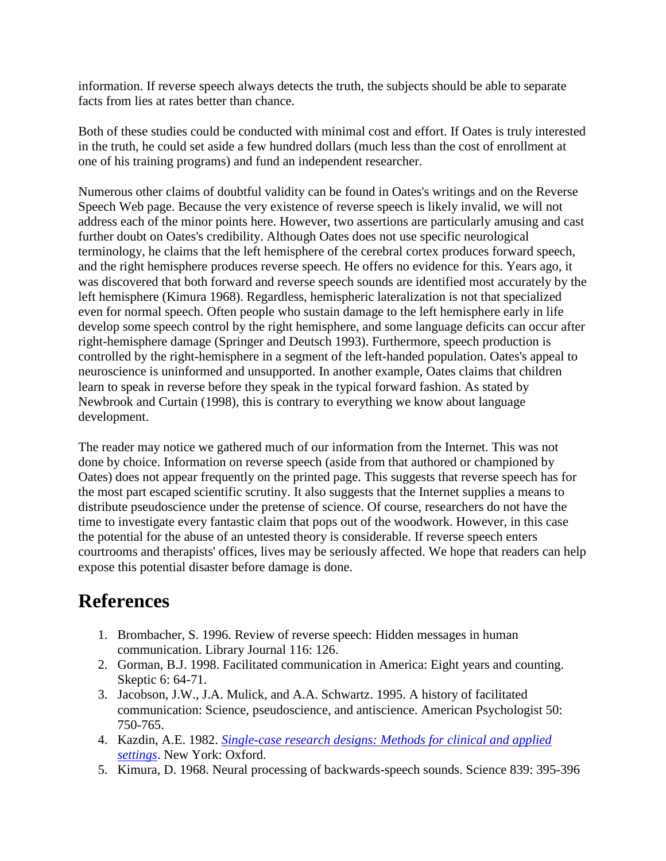information. If reverse speech always detects the truth, the subjects should be able to separate facts from lies at rates better than chance.

Both of these studies could be conducted with minimal cost and effort. If Oates is truly interested in the truth, he could set aside a few hundred dollars (much less than the cost of enrollment at one of his training programs) and fund an independent researcher.

Numerous other claims of doubtful validity can be found in Oates's writings and on the Reverse Speech Web page. Because the very existence of reverse speech is likely invalid, we will not address each of the minor points here. However, two assertions are particularly amusing and cast further doubt on Oates's credibility. Although Oates does not use specific neurological terminology, he claims that the left hemisphere of the cerebral cortex produces forward speech, and the right hemisphere produces reverse speech. He offers no evidence for this. Years ago, it was discovered that both forward and reverse speech sounds are identified most accurately by the left hemisphere (Kimura 1968). Regardless, hemispheric lateralization is not that specialized even for normal speech. Often people who sustain damage to the left hemisphere early in life develop some speech control by the right hemisphere, and some language deficits can occur after right-hemisphere damage (Springer and Deutsch 1993). Furthermore, speech production is controlled by the right-hemisphere in a segment of the left-handed population. Oates's appeal to neuroscience is uninformed and unsupported. In another example, Oates claims that children learn to speak in reverse before they speak in the typical forward fashion. As stated by Newbrook and Curtain (1998), this is contrary to everything we know about language development.

The reader may notice we gathered much of our information from the Internet. This was not done by choice. Information on reverse speech (aside from that authored or championed by Oates) does not appear frequently on the printed page. This suggests that reverse speech has for the most part escaped scientific scrutiny. It also suggests that the Internet supplies a means to distribute pseudoscience under the pretense of science. Of course, researchers do not have the time to investigate every fantastic claim that pops out of the woodwork. However, in this case the potential for the abuse of an untested theory is considerable. If reverse speech enters courtrooms and therapists' offices, lives may be seriously affected. We hope that readers can help expose this potential disaster before damage is done.

### **References**

- 1. Brombacher, S. 1996. Review of reverse speech: Hidden messages in human communication. Library Journal 116: 126.
- 2. Gorman, B.J. 1998. Facilitated communication in America: Eight years and counting. Skeptic 6: 64-71.
- 3. Jacobson, J.W., J.A. Mulick, and A.A. Schwartz. 1995. A history of facilitated communication: Science, pseudoscience, and antiscience. American Psychologist 50: 750-765.
- 4. Kazdin, A.E. 1982. *[Single-case research designs: Methods for clinical and applied](http://www.csicop.org/q/book/0195030206)  [settings](http://www.csicop.org/q/book/0195030206)*. New York: Oxford.
- 5. Kimura, D. 1968. Neural processing of backwards-speech sounds. Science 839: 395-396